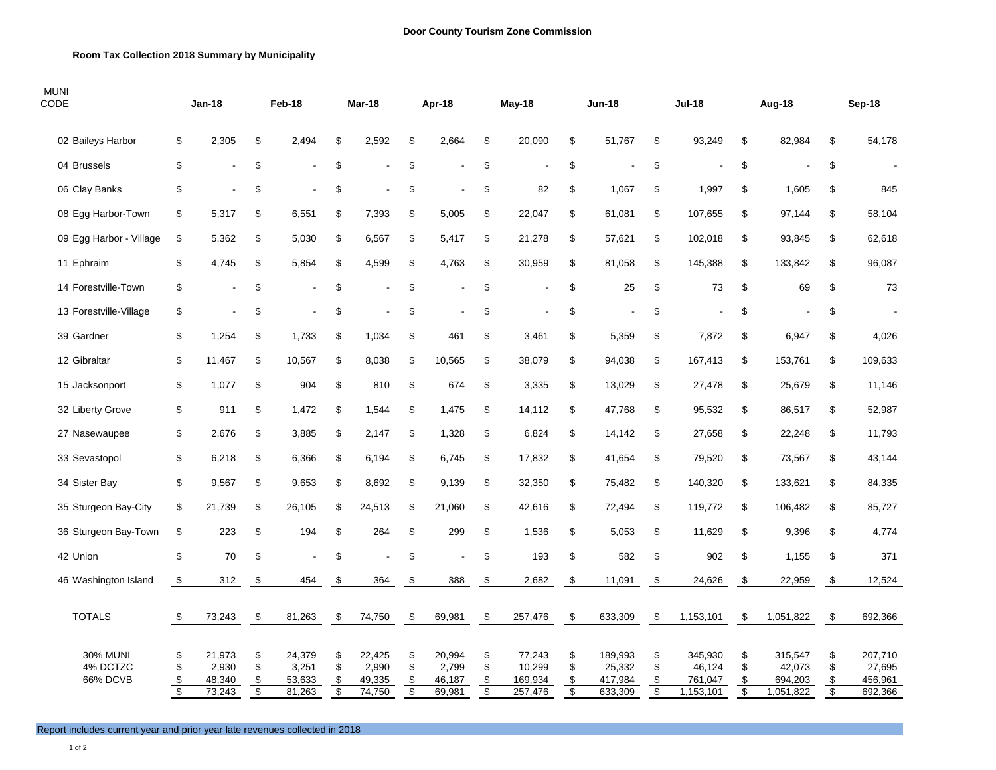## **Room Tax Collection 2018 Summary by Municipality**

| <b>MUNI</b><br><b>CODE</b>              | Jan-18                                    |                                     | Feb-18               |                                     | Mar-18                            |                                     | Apr-18               |                                     | May-18                                    |                                        | Jun-18                            |                                         | <b>Jul-18</b>                              |                                           | Aug-18                                     |                                           | Sep-18               |                                         |
|-----------------------------------------|-------------------------------------------|-------------------------------------|----------------------|-------------------------------------|-----------------------------------|-------------------------------------|----------------------|-------------------------------------|-------------------------------------------|----------------------------------------|-----------------------------------|-----------------------------------------|--------------------------------------------|-------------------------------------------|--------------------------------------------|-------------------------------------------|----------------------|-----------------------------------------|
| 02 Baileys Harbor                       | \$                                        | 2,305                               | \$                   | 2,494                               | \$                                | 2,592                               | \$                   | 2,664                               | \$                                        | 20,090                                 | \$                                | 51,767                                  | \$                                         | 93,249                                    | \$                                         | 82,984                                    | \$                   | 54,178                                  |
| 04 Brussels                             | \$                                        | $\overline{a}$                      | \$                   |                                     | \$                                |                                     | \$                   |                                     | \$                                        |                                        | \$                                |                                         | \$                                         |                                           | \$                                         |                                           | \$                   |                                         |
| 06 Clay Banks                           | \$                                        |                                     | \$                   |                                     | \$                                |                                     | \$                   |                                     | \$                                        | 82                                     | \$                                | 1,067                                   | \$                                         | 1,997                                     | \$                                         | 1,605                                     | \$                   | 845                                     |
| 08 Egg Harbor-Town                      | \$                                        | 5,317                               | \$                   | 6,551                               | \$                                | 7,393                               | \$                   | 5,005                               | \$                                        | 22,047                                 | \$                                | 61,081                                  | \$                                         | 107,655                                   | \$                                         | 97,144                                    | \$                   | 58,104                                  |
| 09 Egg Harbor - Village                 | \$                                        | 5,362                               | \$                   | 5,030                               | \$                                | 6,567                               | \$                   | 5,417                               | \$                                        | 21,278                                 | \$                                | 57,621                                  | \$                                         | 102,018                                   | \$                                         | 93,845                                    | \$                   | 62,618                                  |
| 11 Ephraim                              | \$                                        | 4,745                               | \$                   | 5,854                               | \$                                | 4,599                               | \$                   | 4,763                               | \$                                        | 30,959                                 | \$                                | 81,058                                  | \$                                         | 145,388                                   | \$                                         | 133,842                                   | \$                   | 96,087                                  |
| 14 Forestville-Town                     | \$                                        | $\blacksquare$                      | \$                   | $\blacksquare$                      | \$                                | $\overline{a}$                      | \$                   | ä,                                  | \$                                        |                                        | \$                                | 25                                      | \$                                         | 73                                        | \$                                         | 69                                        | \$                   | 73                                      |
| 13 Forestville-Village                  | \$                                        |                                     | \$                   |                                     | \$                                |                                     | \$                   | ä,                                  | \$                                        |                                        | \$                                |                                         | \$                                         |                                           | \$                                         |                                           | \$                   |                                         |
| 39 Gardner                              | \$                                        | 1,254                               | \$                   | 1,733                               | \$                                | 1,034                               | \$                   | 461                                 | \$                                        | 3,461                                  | \$                                | 5,359                                   | \$                                         | 7,872                                     | \$                                         | 6,947                                     | \$                   | 4,026                                   |
| 12 Gibraltar                            | \$                                        | 11,467                              | \$                   | 10,567                              | \$                                | 8,038                               | \$                   | 10,565                              | \$                                        | 38,079                                 | \$                                | 94,038                                  | \$                                         | 167,413                                   | \$                                         | 153,761                                   | \$                   | 109,633                                 |
| 15 Jacksonport                          | \$                                        | 1,077                               | \$                   | 904                                 | \$                                | 810                                 | \$                   | 674                                 | \$                                        | 3,335                                  | \$                                | 13,029                                  | \$                                         | 27,478                                    | \$                                         | 25,679                                    | \$                   | 11,146                                  |
| 32 Liberty Grove                        | \$                                        | 911                                 | \$                   | 1,472                               | \$                                | 1,544                               | \$                   | 1,475                               | \$                                        | 14,112                                 | \$                                | 47,768                                  | \$                                         | 95,532                                    | \$                                         | 86,517                                    | \$                   | 52,987                                  |
| 27 Nasewaupee                           | \$                                        | 2,676                               | \$                   | 3,885                               | \$                                | 2,147                               | \$                   | 1,328                               | $\,$                                      | 6,824                                  | \$                                | 14,142                                  | \$                                         | 27,658                                    | \$                                         | 22,248                                    | \$                   | 11,793                                  |
| 33 Sevastopol                           | \$                                        | 6,218                               | \$                   | 6,366                               | \$                                | 6,194                               | \$                   | 6,745                               | \$                                        | 17,832                                 | \$                                | 41,654                                  | \$                                         | 79,520                                    | \$                                         | 73,567                                    | \$                   | 43,144                                  |
| 34 Sister Bay                           | \$                                        | 9,567                               | \$                   | 9,653                               | \$                                | 8,692                               | \$                   | 9,139                               | \$                                        | 32,350                                 | \$                                | 75,482                                  | \$                                         | 140,320                                   | \$                                         | 133,621                                   | \$                   | 84,335                                  |
| 35 Sturgeon Bay-City                    | \$                                        | 21,739                              | \$                   | 26,105                              | \$                                | 24,513                              | \$                   | 21,060                              | \$                                        | 42,616                                 | \$                                | 72,494                                  | \$                                         | 119,772                                   | \$                                         | 106,482                                   | \$                   | 85,727                                  |
| 36 Sturgeon Bay-Town                    | \$                                        | 223                                 | \$                   | 194                                 | \$                                | 264                                 | \$                   | 299                                 | \$                                        | 1,536                                  | \$                                | 5,053                                   | \$                                         | 11,629                                    | \$                                         | 9,396                                     | \$                   | 4,774                                   |
| 42 Union                                | \$                                        | 70                                  | \$                   |                                     | \$                                |                                     | \$                   |                                     | \$                                        | 193                                    | \$                                | 582                                     | \$                                         | 902                                       | \$                                         | 1,155                                     | \$                   | 371                                     |
| 46 Washington Island                    | $\sqrt[6]{3}$                             | 312                                 | \$                   | 454                                 | \$                                | 364                                 | \$                   | 388                                 | \$                                        | 2,682                                  | \$                                | 11,091                                  | \$                                         | 24,626                                    | $\sqrt[6]{3}$                              | 22,959                                    | - \$                 | 12,524                                  |
| <b>TOTALS</b>                           | -\$                                       | 73,243                              | \$                   | 81,263                              | \$                                | 74,750                              | -\$                  | 69,981                              | - \$                                      | 257,476                                | \$                                | 633,309                                 | \$                                         | 1,153,101                                 | \$                                         | 1,051,822                                 | - \$                 | 692,366                                 |
| <b>30% MUNI</b><br>4% DCTZC<br>66% DCVB | \$<br>\$<br>\$<br>$\overline{\mathbb{S}}$ | 21,973<br>2,930<br>48,340<br>73,243 | \$<br>\$<br>\$<br>\$ | 24,379<br>3,251<br>53,633<br>81,263 | \$<br>\$<br>\$<br>$\overline{\$}$ | 22,425<br>2,990<br>49,335<br>74,750 | \$<br>\$<br>\$<br>\$ | 20,994<br>2,799<br>46,187<br>69,981 | \$<br>\$<br>\$<br>$\overline{\mathbf{S}}$ | 77,243<br>10,299<br>169,934<br>257,476 | \$<br>\$<br>\$<br>$\overline{\$}$ | 189,993<br>25,332<br>417,984<br>633,309 | \$<br>\$<br>\$<br>$\overline{\mathcal{S}}$ | 345,930<br>46,124<br>761,047<br>1,153,101 | \$<br>\$<br>\$<br>$\overline{\mathcal{S}}$ | 315,547<br>42,073<br>694,203<br>1,051,822 | \$<br>\$<br>\$<br>\$ | 207,710<br>27,695<br>456,961<br>692,366 |